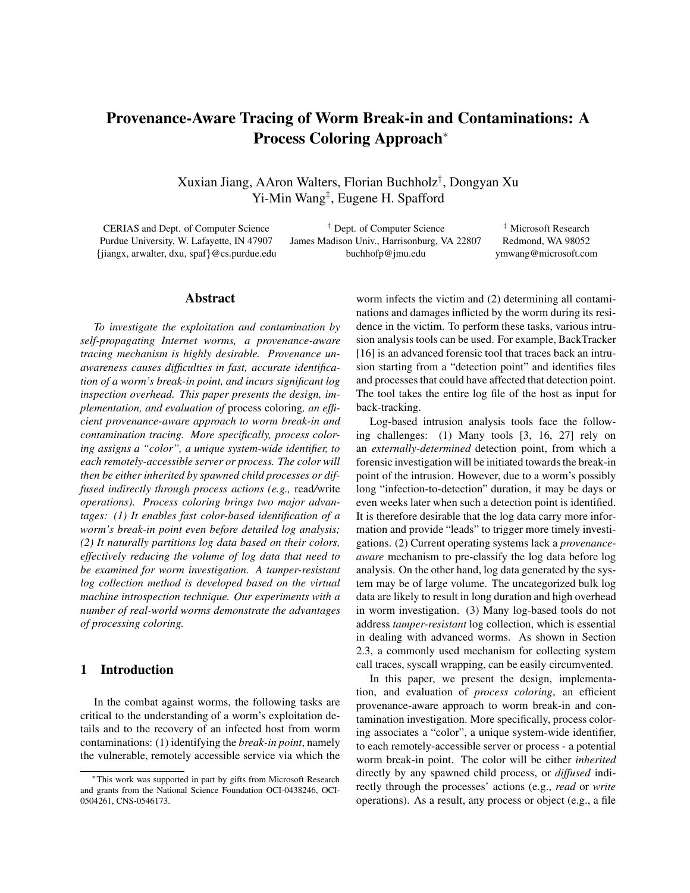# **Provenance-Aware Tracing of Worm Break-in and Contaminations: A Process Coloring Approach**<sup>∗</sup>

Xuxian Jiang, AAron Walters, Florian Buchholz*†* , Dongyan Xu Yi-Min Wang*‡* , Eugene H. Spafford

CERIAS and Dept. of Computer Science † Dept. of Computer Science ‡ Microsoft Research Purdue University, W. Lafayette, IN 47907 James Madison Univ., Harrisonburg, VA 22807 Redmond, WA 98052 *{*jiangx, arwalter, dxu, spaf*}*@cs.purdue.edu buchhofp@jmu.edu ymwang@microsoft.com

#### **Abstract**

*To investigate the exploitation and contamination by self-propagating Internet worms, a provenance-aware tracing mechanism is highly desirable. Provenance unawareness causes difficulties in fast, accurate identification of a worm's break-in point, and incurs significant log inspection overhead. This paper presents the design, implementation, and evaluation of* process coloring*, an efficient provenance-aware approach to worm break-in and contamination tracing. More specifically, process coloring assigns a "color", a unique system-wide identifier, to each remotely-accessible server or process. The color will then be either inherited by spawned child processes or diffused indirectly through process actions (e.g.,* read*/*write *operations). Process coloring brings two major advantages: (1) It enables fast color-based identification of a worm's break-in point even before detailed log analysis; (2) It naturally partitions log data based on their colors, effectively reducing the volume of log data that need to be examined for worm investigation. A tamper-resistant log collection method is developed based on the virtual machine introspection technique. Our experiments with a number of real-world worms demonstrate the advantages of processing coloring.*

# **1 Introduction**

In the combat against worms, the following tasks are critical to the understanding of a worm's exploitation details and to the recovery of an infected host from worm contaminations: (1) identifying the *break-in point*, namely the vulnerable, remotely accessible service via which the worm infects the victim and (2) determining all contaminations and damages inflicted by the worm during its residence in the victim. To perform these tasks, various intrusion analysis tools can be used. For example, BackTracker [16] is an advanced forensic tool that traces back an intrusion starting from a "detection point" and identifies files and processes that could have affected that detection point. The tool takes the entire log file of the host as input for back-tracking.

Log-based intrusion analysis tools face the following challenges: (1) Many tools [3, 16, 27] rely on an *externally-determined* detection point, from which a forensic investigation will be initiated towards the break-in point of the intrusion. However, due to a worm's possibly long "infection-to-detection" duration, it may be days or even weeks later when such a detection point is identified. It is therefore desirable that the log data carry more information and provide "leads" to trigger more timely investigations. (2) Current operating systems lack a *provenanceaware* mechanism to pre-classify the log data before log analysis. On the other hand, log data generated by the system may be of large volume. The uncategorized bulk log data are likely to result in long duration and high overhead in worm investigation. (3) Many log-based tools do not address *tamper-resistant* log collection, which is essential in dealing with advanced worms. As shown in Section 2.3, a commonly used mechanism for collecting system call traces, syscall wrapping, can be easily circumvented.

In this paper, we present the design, implementation, and evaluation of *process coloring*, an efficient provenance-aware approach to worm break-in and contamination investigation. More specifically, process coloring associates a "color", a unique system-wide identifier, to each remotely-accessible server or process - a potential worm break-in point. The color will be either *inherited* directly by any spawned child process, or *diffused* indirectly through the processes' actions (e.g., *read* or *write* operations). As a result, any process or object (e.g., a file

<sup>∗</sup>This work was supported in part by gifts from Microsoft Research and grants from the National Science Foundation OCI-0438246, OCI-0504261, CNS-0546173.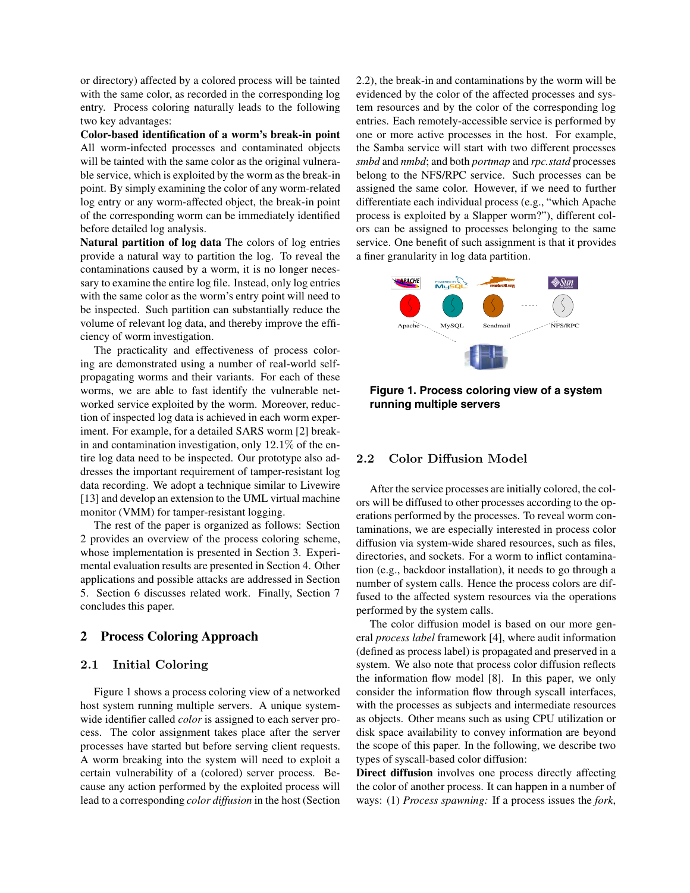or directory) affected by a colored process will be tainted with the same color, as recorded in the corresponding log entry. Process coloring naturally leads to the following two key advantages:

**Color-based identification of a worm's break-in point** All worm-infected processes and contaminated objects will be tainted with the same color as the original vulnerable service, which is exploited by the worm as the break-in point. By simply examining the color of any worm-related log entry or any worm-affected object, the break-in point of the corresponding worm can be immediately identified before detailed log analysis.

**Natural partition of log data** The colors of log entries provide a natural way to partition the log. To reveal the contaminations caused by a worm, it is no longer necessary to examine the entire log file. Instead, only log entries with the same color as the worm's entry point will need to be inspected. Such partition can substantially reduce the volume of relevant log data, and thereby improve the efficiency of worm investigation.

The practicality and effectiveness of process coloring are demonstrated using a number of real-world selfpropagating worms and their variants. For each of these worms, we are able to fast identify the vulnerable networked service exploited by the worm. Moreover, reduction of inspected log data is achieved in each worm experiment. For example, for a detailed SARS worm [2] breakin and contamination investigation, only 12*.*1% of the entire log data need to be inspected. Our prototype also addresses the important requirement of tamper-resistant log data recording. We adopt a technique similar to Livewire [13] and develop an extension to the UML virtual machine monitor (VMM) for tamper-resistant logging.

The rest of the paper is organized as follows: Section 2 provides an overview of the process coloring scheme, whose implementation is presented in Section 3. Experimental evaluation results are presented in Section 4. Other applications and possible attacks are addressed in Section 5. Section 6 discusses related work. Finally, Section 7 concludes this paper.

# **2 Process Coloring Approach**

## **2.1 Initial Coloring**

Figure 1 shows a process coloring view of a networked host system running multiple servers. A unique systemwide identifier called *color* is assigned to each server process. The color assignment takes place after the server processes have started but before serving client requests. A worm breaking into the system will need to exploit a certain vulnerability of a (colored) server process. Because any action performed by the exploited process will lead to a corresponding *color diffusion* in the host (Section 2.2), the break-in and contaminations by the worm will be evidenced by the color of the affected processes and system resources and by the color of the corresponding log entries. Each remotely-accessible service is performed by one or more active processes in the host. For example, the Samba service will start with two different processes *smbd* and *nmbd*; and both *portmap* and *rpc.statd* processes belong to the NFS/RPC service. Such processes can be assigned the same color. However, if we need to further differentiate each individual process (e.g., "which Apache process is exploited by a Slapper worm?"), different colors can be assigned to processes belonging to the same service. One benefit of such assignment is that it provides a finer granularity in log data partition.



**Figure 1. Process coloring view of a system running multiple servers**

# **2.2 Color Diffusion Model**

After the service processes are initially colored, the colors will be diffused to other processes according to the operations performed by the processes. To reveal worm contaminations, we are especially interested in process color diffusion via system-wide shared resources, such as files, directories, and sockets. For a worm to inflict contamination (e.g., backdoor installation), it needs to go through a number of system calls. Hence the process colors are diffused to the affected system resources via the operations performed by the system calls.

The color diffusion model is based on our more general *process label* framework [4], where audit information (defined as process label) is propagated and preserved in a system. We also note that process color diffusion reflects the information flow model [8]. In this paper, we only consider the information flow through syscall interfaces, with the processes as subjects and intermediate resources as objects. Other means such as using CPU utilization or disk space availability to convey information are beyond the scope of this paper. In the following, we describe two types of syscall-based color diffusion:

**Direct diffusion** involves one process directly affecting the color of another process. It can happen in a number of ways: (1) *Process spawning:* If a process issues the *fork*,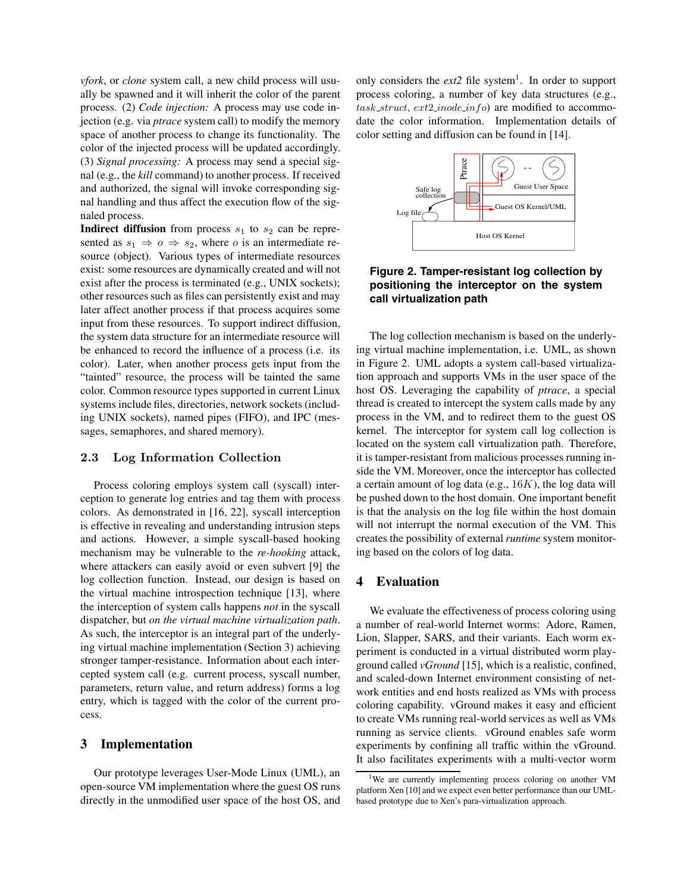*vfork*, or *clone* system call, a new child process will usually be spawned and it will inherit the color of the parent process. (2) *Code injection:* A process may use code injection (e.g. via *ptrace* system call) to modify the memory space of another process to change its functionality. The color of the injected process will be updated accordingly. (3) *Signal processing:* A process may send a special signal (e.g., the *kill* command) to another process. If received and authorized, the signal will invoke corresponding signal handling and thus affect the execution flow of the signaled process.

**Indirect diffusion** from process  $s_1$  to  $s_2$  can be represented as  $s_1 \Rightarrow o \Rightarrow s_2$ , where *o* is an intermediate resource (object). Various types of intermediate resources exist: some resources are dynamically created and will not exist after the process is terminated (e.g., UNIX sockets); other resources such as files can persistently exist and may later affect another process if that process acquires some input from these resources. To support indirect diffusion, the system data structure for an intermediate resource will be enhanced to record the influence of a process (i.e. its color). Later, when another process gets input from the "tainted" resource, the process will be tainted the same color. Common resource types supported in current Linux systems include files, directories, network sockets (including UNIX sockets), named pipes (FIFO), and IPC (messages, semaphores, and shared memory).

#### **2.3 Log Information Collection**

Process coloring employs system call (syscall) interception to generate log entries and tag them with process colors. As demonstrated in [16, 22], syscall interception is effective in revealing and understanding intrusion steps and actions. However, a simple syscall-based hooking mechanism may be vulnerable to the *re-hooking* attack, where attackers can easily avoid or even subvert [9] the log collection function. Instead, our design is based on the virtual machine introspection technique [13], where the interception of system calls happens *not* in the syscall dispatcher, but *on the virtual machine virtualization path*. As such, the interceptor is an integral part of the underlying virtual machine implementation (Section 3) achieving stronger tamper-resistance. Information about each intercepted system call (e.g. current process, syscall number, parameters, return value, and return address) forms a log entry, which is tagged with the color of the current process.

#### **3 Implementation**

Our prototype leverages User-Mode Linux (UML), an open-source VM implementation where the guest OS runs directly in the unmodified user space of the host OS, and only considers the  $ext2$  file system<sup>1</sup>. In order to support process coloring, a number of key data structures (e.g., *task struct*, *ext*2 *inode info*) are modified to accommodate the color information. Implementation details of color setting and diffusion can be found in [14].



**Figure 2. Tamper-resistant log collection by positioning the interceptor on the system call virtualization path**

The log collection mechanism is based on the underlying virtual machine implementation, i.e. UML, as shown in Figure 2. UML adopts a system call-based virtualization approach and supports VMs in the user space of the host OS. Leveraging the capability of *ptrace*, a special thread is created to intercept the system calls made by any process in the VM, and to redirect them to the guest OS kernel. The interceptor for system call log collection is located on the system call virtualization path. Therefore, it is tamper-resistant from malicious processes running inside the VM. Moreover, once the interceptor has collected a certain amount of log data (e.g., 16*K*), the log data will be pushed down to the host domain. One important benefit is that the analysis on the log file within the host domain will not interrupt the normal execution of the VM. This creates the possibility of external *runtime* system monitoring based on the colors of log data.

# **4 Evaluation**

We evaluate the effectiveness of process coloring using a number of real-world Internet worms: Adore, Ramen, Lion, Slapper, SARS, and their variants. Each worm experiment is conducted in a virtual distributed worm playground called *vGround* [15], which is a realistic, confined, and scaled-down Internet environment consisting of network entities and end hosts realized as VMs with process coloring capability. vGround makes it easy and efficient to create VMs running real-world services as well as VMs running as service clients. vGround enables safe worm experiments by confining all traffic within the vGround. It also facilitates experiments with a multi-vector worm

<sup>&</sup>lt;sup>1</sup>We are currently implementing process coloring on another VM platform Xen [10] and we expect even better performance than our UMLbased prototype due to Xen's para-virtualization approach.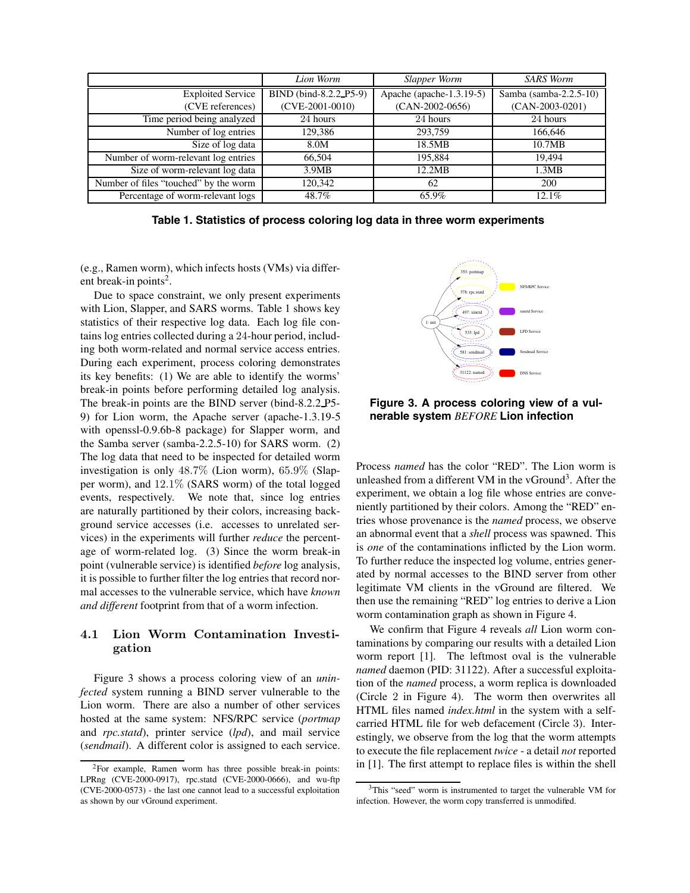|                                       | Lion Worm              | Slapper Worm             | <b>SARS</b> Worm       |
|---------------------------------------|------------------------|--------------------------|------------------------|
| <b>Exploited Service</b>              | BIND (bind-8.2.2_P5-9) | Apache (apache-1.3.19-5) | Samba (samba-2.2.5-10) |
| (CVE references)                      | $(CVE-2001-0010)$      | $(CAN-2002-0656)$        | $(CAN-2003-0201)$      |
| Time period being analyzed            | 24 hours               | 24 hours                 | 24 hours               |
| Number of log entries                 | 129,386                | 293,759                  | 166,646                |
| Size of log data                      | 8.0M                   | 18.5MB                   | 10.7MB                 |
| Number of worm-relevant log entries   | 66,504                 | 195,884                  | 19,494                 |
| Size of worm-relevant log data        | 3.9MB                  | 12.2MB                   | 1.3MB                  |
| Number of files "touched" by the worm | 120,342                | 62                       | 200                    |
| Percentage of worm-relevant logs      | 48.7%                  | 65.9%                    | 12.1%                  |

**Table 1. Statistics of process coloring log data in three worm experiments**

(e.g., Ramen worm), which infects hosts (VMs) via different break-in points<sup>2</sup>.

Due to space constraint, we only present experiments with Lion, Slapper, and SARS worms. Table 1 shows key statistics of their respective log data. Each log file contains log entries collected during a 24-hour period, including both worm-related and normal service access entries. During each experiment, process coloring demonstrates its key benefits: (1) We are able to identify the worms' break-in points before performing detailed log analysis. The break-in points are the BIND server (bind-8.2.2 P5- 9) for Lion worm, the Apache server (apache-1.3.19-5 with openssl-0.9.6b-8 package) for Slapper worm, and the Samba server (samba-2.2.5-10) for SARS worm. (2) The log data that need to be inspected for detailed worm investigation is only 48*.*7% (Lion worm), 65*.*9% (Slapper worm), and 12*.*1% (SARS worm) of the total logged events, respectively. We note that, since log entries are naturally partitioned by their colors, increasing background service accesses (i.e. accesses to unrelated services) in the experiments will further *reduce* the percentage of worm-related log. (3) Since the worm break-in point (vulnerable service) is identified *before* log analysis, it is possible to further filter the log entries that record normal accesses to the vulnerable service, which have *known and different* footprint from that of a worm infection.

# **4.1 Lion Worm Contamination Investigation**

Figure 3 shows a process coloring view of an *uninfected* system running a BIND server vulnerable to the Lion worm. There are also a number of other services hosted at the same system: NFS/RPC service (*portmap* and *rpc.statd*), printer service (*lpd*), and mail service (*sendmail*). A different color is assigned to each service.



**Figure 3. A process coloring view of a vulnerable system** *BEFORE* **Lion infection**

Process *named* has the color "RED". The Lion worm is unleashed from a different VM in the vGround<sup>3</sup>. After the experiment, we obtain a log file whose entries are conveniently partitioned by their colors. Among the "RED" entries whose provenance is the *named* process, we observe an abnormal event that a *shell* process was spawned. This is *one* of the contaminations inflicted by the Lion worm. To further reduce the inspected log volume, entries generated by normal accesses to the BIND server from other legitimate VM clients in the vGround are filtered. We then use the remaining "RED" log entries to derive a Lion worm contamination graph as shown in Figure 4.

We confirm that Figure 4 reveals *all* Lion worm contaminations by comparing our results with a detailed Lion worm report [1]. The leftmost oval is the vulnerable *named* daemon (PID: 31122). After a successful exploitation of the *named* process, a worm replica is downloaded (Circle 2 in Figure 4). The worm then overwrites all HTML files named *index.html* in the system with a selfcarried HTML file for web defacement (Circle 3). Interestingly, we observe from the log that the worm attempts to execute the file replacement *twice* - a detail *not* reported in [1]. The first attempt to replace files is within the shell

<sup>2</sup>For example, Ramen worm has three possible break-in points: LPRng (CVE-2000-0917), rpc.statd (CVE-2000-0666), and wu-ftp (CVE-2000-0573) - the last one cannot lead to a successful exploitation as shown by our vGround experiment.

<sup>&</sup>lt;sup>3</sup>This "seed" worm is instrumented to target the vulnerable VM for infection. However, the worm copy transferred is unmodified.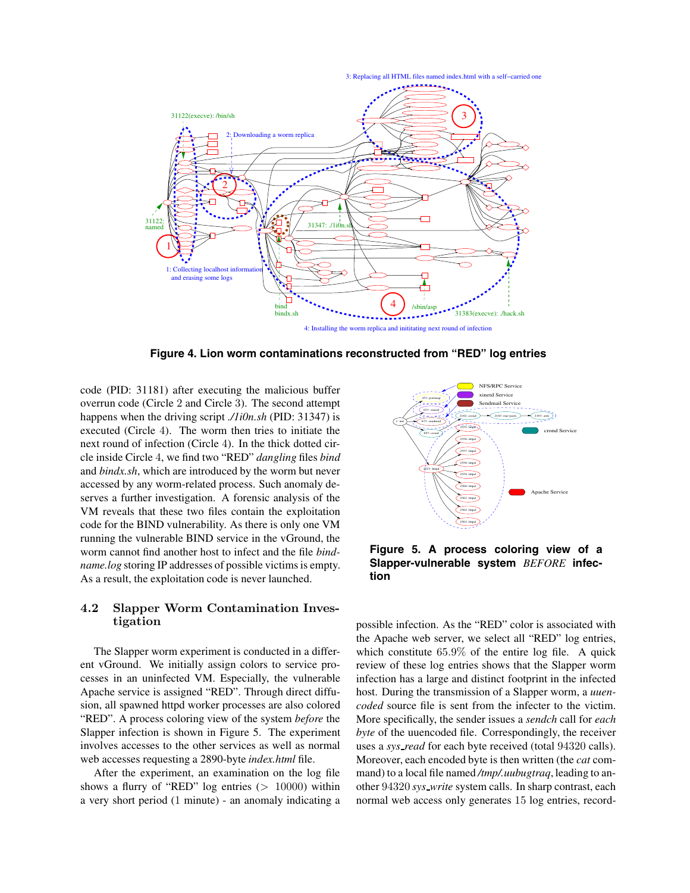

**Figure 4. Lion worm contaminations reconstructed from "RED" log entries**

code (PID: 31181) after executing the malicious buffer overrun code (Circle 2 and Circle 3). The second attempt happens when the driving script *./1i0n.sh* (PID: 31347) is executed (Circle 4). The worm then tries to initiate the next round of infection (Circle 4). In the thick dotted circle inside Circle 4, we find two "RED" *dangling* files *bind* and *bindx.sh*, which are introduced by the worm but never accessed by any worm-related process. Such anomaly deserves a further investigation. A forensic analysis of the VM reveals that these two files contain the exploitation code for the BIND vulnerability. As there is only one VM running the vulnerable BIND service in the vGround, the worm cannot find another host to infect and the file *bindname.log* storing IP addresses of possible victims is empty. As a result, the exploitation code is never launched.

# **4.2 Slapper Worm Contamination Investigation**

The Slapper worm experiment is conducted in a different vGround. We initially assign colors to service processes in an uninfected VM. Especially, the vulnerable Apache service is assigned "RED". Through direct diffusion, all spawned httpd worker processes are also colored "RED". A process coloring view of the system *before* the Slapper infection is shown in Figure 5. The experiment involves accesses to the other services as well as normal web accesses requesting a 2890-byte *index.html* file.

After the experiment, an examination on the log file shows a flurry of "RED" log entries (*>* 10000) within a very short period (1 minute) - an anomaly indicating a



**Figure 5. A process coloring view of a Slapper-vulnerable system** *BEFORE* **infection**

possible infection. As the "RED" color is associated with the Apache web server, we select all "RED" log entries, which constitute 65*.*9% of the entire log file. A quick review of these log entries shows that the Slapper worm infection has a large and distinct footprint in the infected host. During the transmission of a Slapper worm, a *uuencoded* source file is sent from the infecter to the victim. More specifically, the sender issues a *sendch* call for *each byte* of the uuencoded file. Correspondingly, the receiver uses a *sys read* for each byte received (total 94320 calls). Moreover, each encoded byte is then written (the *cat* command) to a local file named */tmp/.uubugtraq*, leading to another 94320 *sys write* system calls. In sharp contrast, each normal web access only generates 15 log entries, record-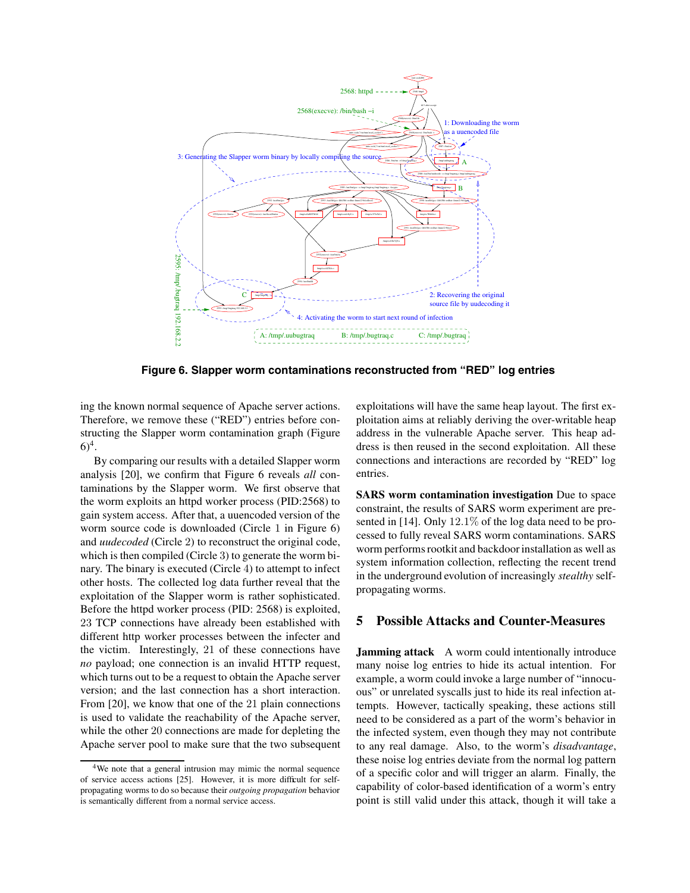

**Figure 6. Slapper worm contaminations reconstructed from "RED" log entries**

ing the known normal sequence of Apache server actions. Therefore, we remove these ("RED") entries before constructing the Slapper worm contamination graph (Figure  $6)^4$ .

By comparing our results with a detailed Slapper worm analysis [20], we confirm that Figure 6 reveals *all* contaminations by the Slapper worm. We first observe that the worm exploits an httpd worker process (PID:2568) to gain system access. After that, a uuencoded version of the worm source code is downloaded (Circle 1 in Figure 6) and *uudecoded* (Circle 2) to reconstruct the original code, which is then compiled (Circle 3) to generate the worm binary. The binary is executed (Circle 4) to attempt to infect other hosts. The collected log data further reveal that the exploitation of the Slapper worm is rather sophisticated. Before the httpd worker process (PID: 2568) is exploited, 23 TCP connections have already been established with different http worker processes between the infecter and the victim. Interestingly, 21 of these connections have *no* payload; one connection is an invalid HTTP request, which turns out to be a request to obtain the Apache server version; and the last connection has a short interaction. From [20], we know that one of the 21 plain connections is used to validate the reachability of the Apache server, while the other 20 connections are made for depleting the Apache server pool to make sure that the two subsequent exploitations will have the same heap layout. The first exploitation aims at reliably deriving the over-writable heap address in the vulnerable Apache server. This heap address is then reused in the second exploitation. All these connections and interactions are recorded by "RED" log entries.

**SARS worm contamination investigation** Due to space constraint, the results of SARS worm experiment are presented in [14]. Only 12*.*1% of the log data need to be processed to fully reveal SARS worm contaminations. SARS worm performs rootkit and backdoor installation as well as system information collection, reflecting the recent trend in the underground evolution of increasingly *stealthy* selfpropagating worms.

# **5 Possible Attacks and Counter-Measures**

**Jamming attack** A worm could intentionally introduce many noise log entries to hide its actual intention. For example, a worm could invoke a large number of "innocuous" or unrelated syscalls just to hide its real infection attempts. However, tactically speaking, these actions still need to be considered as a part of the worm's behavior in the infected system, even though they may not contribute to any real damage. Also, to the worm's *disadvantage*, these noise log entries deviate from the normal log pattern of a specific color and will trigger an alarm. Finally, the capability of color-based identification of a worm's entry point is still valid under this attack, though it will take a

<sup>4</sup>We note that a general intrusion may mimic the normal sequence of service access actions [25]. However, it is more difficult for selfpropagating worms to do so because their *outgoing propagation* behavior is semantically different from a normal service access.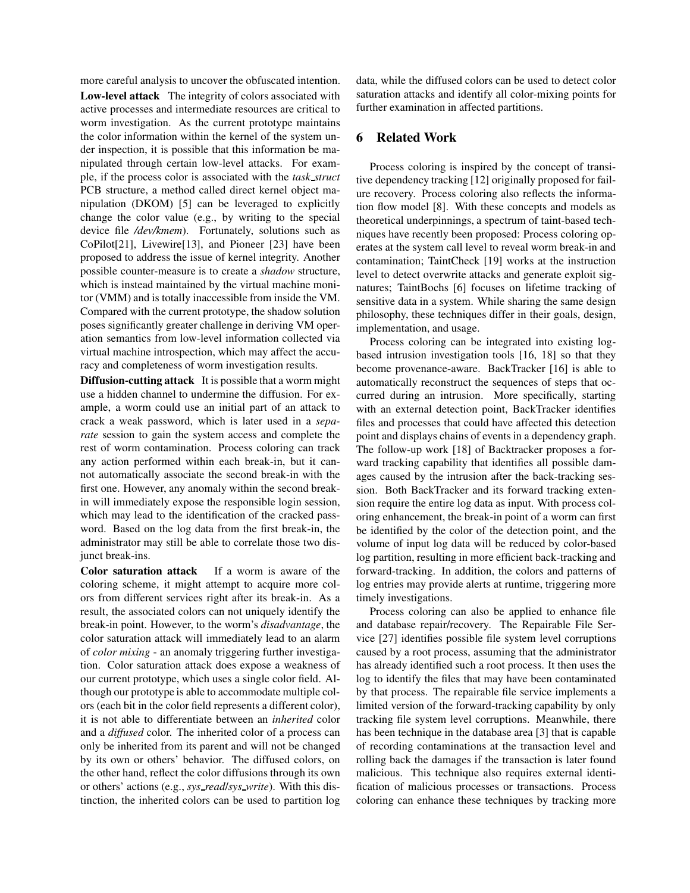more careful analysis to uncover the obfuscated intention. **Low-level attack** The integrity of colors associated with active processes and intermediate resources are critical to worm investigation. As the current prototype maintains the color information within the kernel of the system under inspection, it is possible that this information be manipulated through certain low-level attacks. For example, if the process color is associated with the *task struct* PCB structure, a method called direct kernel object manipulation (DKOM) [5] can be leveraged to explicitly change the color value (e.g., by writing to the special device file */dev/kmem*). Fortunately, solutions such as CoPilot[21], Livewire[13], and Pioneer [23] have been proposed to address the issue of kernel integrity. Another possible counter-measure is to create a *shadow* structure, which is instead maintained by the virtual machine monitor (VMM) and is totally inaccessible from inside the VM. Compared with the current prototype, the shadow solution poses significantly greater challenge in deriving VM operation semantics from low-level information collected via virtual machine introspection, which may affect the accuracy and completeness of worm investigation results.

**Diffusion-cutting attack** It is possible that a worm might use a hidden channel to undermine the diffusion. For example, a worm could use an initial part of an attack to crack a weak password, which is later used in a *separate* session to gain the system access and complete the rest of worm contamination. Process coloring can track any action performed within each break-in, but it cannot automatically associate the second break-in with the first one. However, any anomaly within the second breakin will immediately expose the responsible login session, which may lead to the identification of the cracked password. Based on the log data from the first break-in, the administrator may still be able to correlate those two disjunct break-ins.

**Color saturation attack** If a worm is aware of the coloring scheme, it might attempt to acquire more colors from different services right after its break-in. As a result, the associated colors can not uniquely identify the break-in point. However, to the worm's *disadvantage*, the color saturation attack will immediately lead to an alarm of *color mixing* - an anomaly triggering further investigation. Color saturation attack does expose a weakness of our current prototype, which uses a single color field. Although our prototype is able to accommodate multiple colors (each bit in the color field represents a different color), it is not able to differentiate between an *inherited* color and a *diffused* color. The inherited color of a process can only be inherited from its parent and will not be changed by its own or others' behavior. The diffused colors, on the other hand, reflect the color diffusions through its own or others' actions (e.g., *sys read*/*sys write*). With this distinction, the inherited colors can be used to partition log data, while the diffused colors can be used to detect color saturation attacks and identify all color-mixing points for further examination in affected partitions.

#### **6 Related Work**

Process coloring is inspired by the concept of transitive dependency tracking [12] originally proposed for failure recovery. Process coloring also reflects the information flow model [8]. With these concepts and models as theoretical underpinnings, a spectrum of taint-based techniques have recently been proposed: Process coloring operates at the system call level to reveal worm break-in and contamination; TaintCheck [19] works at the instruction level to detect overwrite attacks and generate exploit signatures; TaintBochs [6] focuses on lifetime tracking of sensitive data in a system. While sharing the same design philosophy, these techniques differ in their goals, design, implementation, and usage.

Process coloring can be integrated into existing logbased intrusion investigation tools [16, 18] so that they become provenance-aware. BackTracker [16] is able to automatically reconstruct the sequences of steps that occurred during an intrusion. More specifically, starting with an external detection point, BackTracker identifies files and processes that could have affected this detection point and displays chains of events in a dependency graph. The follow-up work [18] of Backtracker proposes a forward tracking capability that identifies all possible damages caused by the intrusion after the back-tracking session. Both BackTracker and its forward tracking extension require the entire log data as input. With process coloring enhancement, the break-in point of a worm can first be identified by the color of the detection point, and the volume of input log data will be reduced by color-based log partition, resulting in more efficient back-tracking and forward-tracking. In addition, the colors and patterns of log entries may provide alerts at runtime, triggering more timely investigations.

Process coloring can also be applied to enhance file and database repair/recovery. The Repairable File Service [27] identifies possible file system level corruptions caused by a root process, assuming that the administrator has already identified such a root process. It then uses the log to identify the files that may have been contaminated by that process. The repairable file service implements a limited version of the forward-tracking capability by only tracking file system level corruptions. Meanwhile, there has been technique in the database area [3] that is capable of recording contaminations at the transaction level and rolling back the damages if the transaction is later found malicious. This technique also requires external identification of malicious processes or transactions. Process coloring can enhance these techniques by tracking more